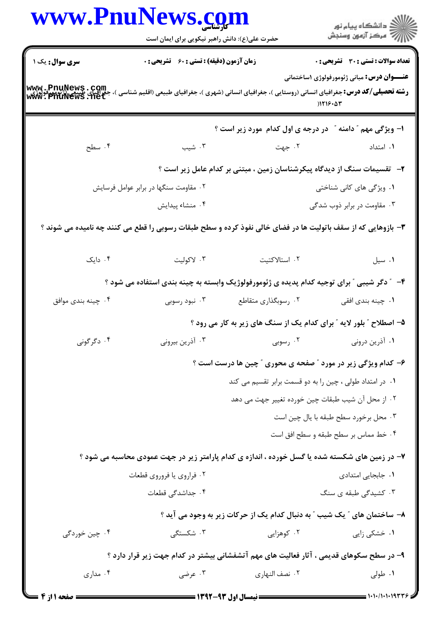|                                                                                    | حضرت علی(ع): دانش راهبر نیکویی برای ایمان است                                                                |                                                                                   | الاد دانشگاه پيام نور<br>الا مرکز آزمون وسنجش                     |  |
|------------------------------------------------------------------------------------|--------------------------------------------------------------------------------------------------------------|-----------------------------------------------------------------------------------|-------------------------------------------------------------------|--|
| سری سوال: یک ۱                                                                     | زمان آزمون (دقیقه) : تستی : 60 ٪ تشریحی : 0                                                                  |                                                                                   | <b>تعداد سوالات : تستی : 30 - تشریحی : 0</b>                      |  |
| www.PnuNews.com<br>جَّدِ امِّيْنِ عَيْنِيْتِهِ مِنْ الْبَحْثَةِ<br>www.PnuNews.net | <b>رشته تحصیلی/کد درس:</b> جغرافیای انسانی (روستایی )، جغرافیای انسانی (شهری )، جغرافیای طبیعی (اقلیم شناسی  |                                                                                   | <b>عنـــوان درس:</b> مبانی ژئومورفولوژی ۱ساختمانی<br>$)1719 - 47$ |  |
|                                                                                    |                                                                                                              | ا- ویژگی مهم " دامنه " در درجه ی اول کدام مورد زیر است ؟                          |                                                                   |  |
| ۰۴ سطح                                                                             | ۰۳ شیب                                                                                                       | ۰۲ جهت                                                                            | ۰۱ امتداد                                                         |  |
|                                                                                    |                                                                                                              | <b>۲</b> -   تقسیمات سنگ از دیدگاه پیکرشناسان زمین ، مبتنی بر کدام عامل زیر است ؟ |                                                                   |  |
| ۰۲ مقاومت سنگها در برابر عوامل فرسایش                                              |                                                                                                              |                                                                                   | ۰۱ ویژگی های کانی شناختی                                          |  |
|                                                                                    | ۰۴ منشاء پيدايش                                                                                              |                                                                                   | ۰۳ مقاومت در برابر ذوب شدگی                                       |  |
|                                                                                    | ۳- بازوهایی که از سقف باتولیت ها در فضای خالی نفوذ کرده و سطح طبقات رسوبی را قطع می کنند چه نامیده می شوند ؟ |                                                                                   |                                                                   |  |
| ۰۴ دایک                                                                            | ۰۳ لاکولیت                                                                                                   | ۰۲ استالاکتیت                                                                     | ۰۱ سیل                                                            |  |
|                                                                                    | ۴- ″ دگر شیبی ″ برای توجیه کدام پدیده ی ژئومورفولوژیک وابسته به چینه بندی استفاده می شود ؟                   |                                                                                   |                                                                   |  |
| ۰۴ چینه بندی موافق                                                                 | ۰۳ نبود رسوبی                                                                                                | ۰۲ رسوبگذاری متقاطع                                                               | ۰۱ چینه بندی افقی                                                 |  |
|                                                                                    |                                                                                                              | ۵– اصطلاح ″ بلور لایه ″ برای کدام یک از سنگ های زیر به کار می رود ؟               |                                                                   |  |
| ۰۴ دگرگونی                                                                         | ۰۳ آذرین بیرونی                                                                                              | ۰۲ رسوبی                                                                          | ۰۱ آذرین درونی                                                    |  |
|                                                                                    | ۶- کدام ویژگی زیر در مورد " صفحه ی محوری " چین ها درست است ؟                                                 |                                                                                   |                                                                   |  |
|                                                                                    |                                                                                                              | ۰۱ در امتداد طولی ، چین را به دو قسمت برابر تقسیم می کند                          |                                                                   |  |
|                                                                                    |                                                                                                              | ۰۲ از محل آن شیب طبقات چین خورده تغییر جهت می دهد                                 |                                                                   |  |
|                                                                                    |                                                                                                              |                                                                                   | ۰۳ محل برخورد سطح طبقه با يال چين است                             |  |
|                                                                                    |                                                                                                              |                                                                                   | ۰۴ خط مماس بر سطح طبقه و سطح افق است                              |  |
|                                                                                    | ۷– در زمین های شکسته شده یا گسل خورده ، اندازه ی کدام پارامتر زیر در جهت عمودی محاسبه می شود ؟               |                                                                                   |                                                                   |  |
|                                                                                    | ۰۲ فراروي يا فروروي قطعات                                                                                    |                                                                                   | ٠١. جابجايي امتدادي                                               |  |
|                                                                                    | ۰۴ جداشدگی قطعات                                                                                             |                                                                                   | ۰۳ کشیدگی طبقه ی سنگ                                              |  |
|                                                                                    |                                                                                                              | ۸– ساختمان های ″ یک شیب ″ به دنبال کدام یک از حرکات زیر به وجود می آید ؟          |                                                                   |  |
| ۰۴ چین خوردگی                                                                      | ۰۳ شکستگی                                                                                                    | ۰۲ کوهزایی                                                                        | ۰۱ خشکی زایی                                                      |  |
|                                                                                    | ۹- در سطح سکوهای قدیمی ، آثار فعالیت های مهم آتشفشانی بیشتر در کدام جهت زیر قرار دارد ؟                      |                                                                                   |                                                                   |  |
| ۰۴ مداری                                                                           | ۰۳ عرضی                                                                                                      | ۰۲ نصف النهاري                                                                    | ۰۱ طولی                                                           |  |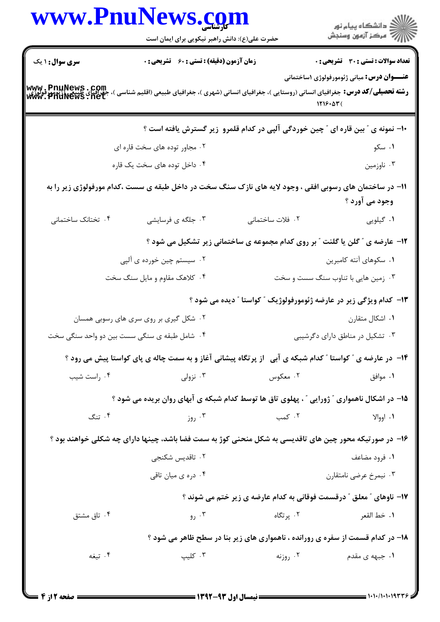|                                                                  | www.PnuNews.com<br>حضرت علی(ع): دانش راهبر نیکویی برای ایمان است                                               |                                                                                   | <br>  <br>  7   مرکز آزمون وسنجش                             |
|------------------------------------------------------------------|----------------------------------------------------------------------------------------------------------------|-----------------------------------------------------------------------------------|--------------------------------------------------------------|
| <b>سری سوال : ۱ یک</b>                                           | زمان آزمون (دقیقه) : تستی : 60 ٪ تشریحی : 0                                                                    |                                                                                   | <b>تعداد سوالات : تستی : 30 ٪ تشریحی : 0</b>                 |
| www.PnuNews.com<br>جَغِّراسای طبیع اللہ اللہ<br>www.PriuNews.net | <b>رشته تحصیلی/کد درس:</b> جغرافیای انسانی (روستایی )، جغرافیای انسانی (شهری )، جغرافیای طبیعی (اقلیم شناسی )، |                                                                                   | <b>عنـــوان درس:</b> مبانی ژئومورفولوژی ۱ساختمانی<br>1719.07 |
|                                                                  |                                                                                                                | +۱- نمونه ی ″ بین قاره ای ″ چین خوردگی آلپی در کدام قلمرو ۖ زیر گسترش یافته است ؟ |                                                              |
|                                                                  | ۰۲ مجاور توده های سخت قاره ای                                                                                  |                                                                                   | ۰۱ سکو                                                       |
|                                                                  | ۰۴ داخل توده های سخت یک قاره                                                                                   |                                                                                   | ۰۳ ناوزمین                                                   |
|                                                                  | 11– در ساختمان های رسوبی افقی ، وجود لایه های نازک سنگ سخت در داخل طبقه ی سست ،کدام مورفولوژی زیر را به        |                                                                                   | وجود می آورد ؟                                               |
| ۰۴ تختانک ساختمانی                                               | ۰۳ جلگه ی فرسایشی                                                                                              | ٠٢ فلات ساختمانى                                                                  | ۰۱ گیلویی                                                    |
|                                                                  |                                                                                                                | ۱۲- عارضه ی " گلن یا گلنت " بر روی کدام مجموعه ی ساختمانی زیر تشکیل می شود ؟      |                                                              |
|                                                                  | ۰۲ سیستم چین خورده ی آلپی                                                                                      |                                                                                   | ۰۱ سکوهای آنته کامبرین                                       |
|                                                                  | ۰۴ کلاهک مقاوم و مایل سنگ سخت                                                                                  |                                                                                   | ۰۳ زمین هایی با تناوب سنگ سست و سخت                          |
|                                                                  |                                                                                                                | ۱۳- کدام ویژگی زیر در عارضه ژئومورفولوژیک ″ کواستا ″ دیده می شود ؟                |                                                              |
|                                                                  | ۰۲ شکل گیری بر روی سری های رسوبی همسان                                                                         |                                                                                   | ۰۱ اشکال متقارن                                              |
|                                                                  | ۰۴ شامل طبقه ی سنگی سست بین دو واحد سنگی سخت                                                                   |                                                                                   | ۰۳ تشکیل در مناطق دارای دگرشیبی                              |
|                                                                  | ۱۴- در عارضه ی " کواستا " کدام شبکه ی آبی 「از پرتگاه پیشانی آغاز و به سمت چاله ی پای کواستا پیش می رود ؟       |                                                                                   |                                                              |
| ۰۴ راست شیب                                                      | نزولی $\cdot$ ۳                                                                                                | ۰۲ معکوس                                                                          | ۰۱ موافق                                                     |
|                                                                  | ۱۵– در اشکال ناهمواری ″ ژورایی ″ ، پهلوی تاق ها توسط کدام شبکه ی آبهای روان بریده می شود ؟                     |                                                                                   |                                                              |
| ۰۴ تنگ                                                           | ۰۳ روز                                                                                                         | ۰۲ کمب                                                                            | ۰۱ اووالا                                                    |
|                                                                  | ۱۶- در صورتیکه محور چین های تاقدیسی به شکل منحنی کوژ به سمت فضا باشد، چینها دارای چه شکلی خواهند بود ؟         |                                                                                   |                                                              |
|                                                                  | ۰۲ تاقدیس شکنجی                                                                                                |                                                                                   | ۰۱ فرود مضاعف                                                |
|                                                                  | ۰۴ دره ی میان تاقی                                                                                             |                                                                                   | ۰۳ نیمرخ عرضی نامتقارن                                       |
|                                                                  |                                                                                                                | ۱۷- ناوهای " معلق " درقسمت فوقانی به کدام عارضه ی زیر ختم می شوند ؟               |                                                              |
| ۰۴ تاق مشتق                                                      | ۰۳ رو                                                                                                          | ۰۲ پرتگاه                                                                         | ٠١. خط القعر                                                 |
|                                                                  |                                                                                                                | ۱۸- در کدام قسمت از سفره ی رورانده ، ناهمواری های زیر بنا در سطح ظاهر می شود ؟    |                                                              |
| ۰۴ تيغه                                                          | ۰۳ کلیپ                                                                                                        | ۰۲ روزنه                                                                          | ۰۱ جبهه ی مقدم                                               |
|                                                                  |                                                                                                                |                                                                                   |                                                              |
|                                                                  |                                                                                                                |                                                                                   |                                                              |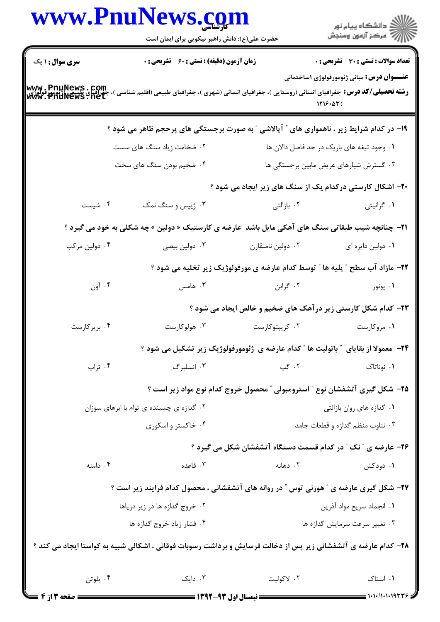|                                                                | www.PnuNews.com<br>حضرت علی(ع): دانش راهبر نیکویی برای ایمان است                                                                                                             |                                                                                   | ر دانشگاه پيام نور<br>دانشگاه پيام نور                       |  |
|----------------------------------------------------------------|------------------------------------------------------------------------------------------------------------------------------------------------------------------------------|-----------------------------------------------------------------------------------|--------------------------------------------------------------|--|
| <b>سری سوال : ۱ یک</b>                                         | <b>زمان آزمون (دقیقه) : تستی : 60 ٪ تشریحی : 0</b>                                                                                                                           |                                                                                   | تعداد سوالات : تستي : 30 - تشريحي : 0                        |  |
|                                                                | <b>www . PnuNews . Com</b><br><b>رشته تحصیلی/کد درس:</b> جغرافیای انسانی (روستایی )، جغرافیای انسانی (شهری )، جغرافیای طبیعی (اقلیم شناسی )، جغرافیای<br>www . PnuNews . net |                                                                                   | <b>عنـــوان درس:</b> مبانی ژئومورفولوژی ۱ساختمانی<br>1216.53 |  |
|                                                                | ۱۹- در کدام شرایط زیر ، ناهمواری های ″ آپالاشی ″ به صورت برجستگی های پرحجم ظاهر می شود ؟                                                                                     |                                                                                   |                                                              |  |
|                                                                | ۲. ضخامت زیاد سنگ های سست                                                                                                                                                    |                                                                                   | ٠١ وجود تيغه هاى باريک در حد فاصل دالان ها                   |  |
|                                                                | ۰۴ ضخیم بودن سنگ های سخت                                                                                                                                                     |                                                                                   | ۰۳ گسترش شیارهای عریض مابین برجستگی ها                       |  |
|                                                                |                                                                                                                                                                              | ۲۰- اشکال کارستی درکدام یک از سنگ های زیر ایجاد می شود ؟                          |                                                              |  |
| ۰۴ شیست                                                        | ۰۳ ژیپس و سنگ نمک                                                                                                                                                            | ۰۲ بازالتی                                                                        | ۰۱ گرانیتی                                                   |  |
|                                                                | <b>۲۱</b> - چنانچه شیب طبقاتی سنگ های آهکی مایل باشد  عارضه ی کارستیک « دولین » چه شکلی به خود می گیرد ؟                                                                     |                                                                                   |                                                              |  |
| ۰۴ دولین مرکب                                                  | ۰۳ دولین بیضی                                                                                                                                                                | ۰۲ دولین نامتقارن                                                                 | ٠١ دولين دايره اي                                            |  |
|                                                                |                                                                                                                                                                              | ۲۲- مازاد آب سطح ″ پلیه ها ″ توسط کدام عارضه ی مورفولوژیک زیر تخلیه می شود ؟      |                                                              |  |
| ۰۴ آون                                                         | ۰۳ هامس                                                                                                                                                                      | ۰۲ گرابن                                                                          | ۰۱ پونور                                                     |  |
|                                                                |                                                                                                                                                                              | ۲۳- کدام شکل کارستی زیر درآهک های ضخیم و خالص ایجاد می شود ؟                      |                                                              |  |
| ۰۴ بریرکارست                                                   | ۰۳ هولوکارست                                                                                                                                                                 | ۰۲ کریپتوکارست                                                                    | ۰۱ مروکارست                                                  |  |
|                                                                |                                                                                                                                                                              | ۲۴− معمولا از بقایای ″ باتولیت ها ″ کدام عارضه ی ژئومورفولوژیک زیر تشکیل می شود ؟ |                                                              |  |
| ۰۴ تراپ                                                        | ۰۳ انسلبرگ                                                                                                                                                                   | ۲. گپ                                                                             | ۰۱ نوناتاک                                                   |  |
|                                                                |                                                                                                                                                                              | ۲۵- شکل گیری آتشفشان نوع " استرومبولی " محصول خروج کدام نوع مواد زیر است ؟        |                                                              |  |
| ۰۲ گدازه ی چسبنده ی توام با ابرهای سوزان<br>۰۴ خاکستر و اسکوری |                                                                                                                                                                              |                                                                                   | ۰۱ گدازه های روان بازالتی                                    |  |
|                                                                |                                                                                                                                                                              |                                                                                   | ۰۳ تناوب منظم گدازه و قطعات جامد                             |  |
|                                                                |                                                                                                                                                                              | ۲۶- عارضه ی " نک " در کدام قسمت دستگاه آتشفشان شکل می گیرد ؟                      |                                                              |  |
| ۰۴ دامنه                                                       | ۰۳ قاعده                                                                                                                                                                     | ۰۲ دهانه                                                                          | ۱. دودکش                                                     |  |
|                                                                | ۲۷- شکل گیری عارضه ی ″ هورنی توس ″ در روانه های آتشفشانی ، محصول کدام فرایند زیر است ؟                                                                                       |                                                                                   |                                                              |  |
| ۰۲ خروج گدازه ها در زیر دریاها                                 |                                                                                                                                                                              |                                                                                   | ٠١. انجماد سريع مواد آذرين                                   |  |
| ۰۴ فشار زياد خروج گدازه ها                                     |                                                                                                                                                                              |                                                                                   | ۰۳ تغییر سرعت سرمایش گدازه ها                                |  |
|                                                                | ۲۸– کدام عارضه ی آتشفشانی زیر پس از دخالت فرسایش و برداشت رسوبات فوقانی ، اشکالی شبیه به کواستا ایجاد می کند ؟                                                               |                                                                                   |                                                              |  |
| ۰۴ پلوتن                                                       |                                                                                                                                                                              | ۰۲ لاکولیت دایک ۰۳                                                                | ٠١ استاک                                                     |  |
| ــــــــ صفحه 2 از 4                                           |                                                                                                                                                                              |                                                                                   |                                                              |  |